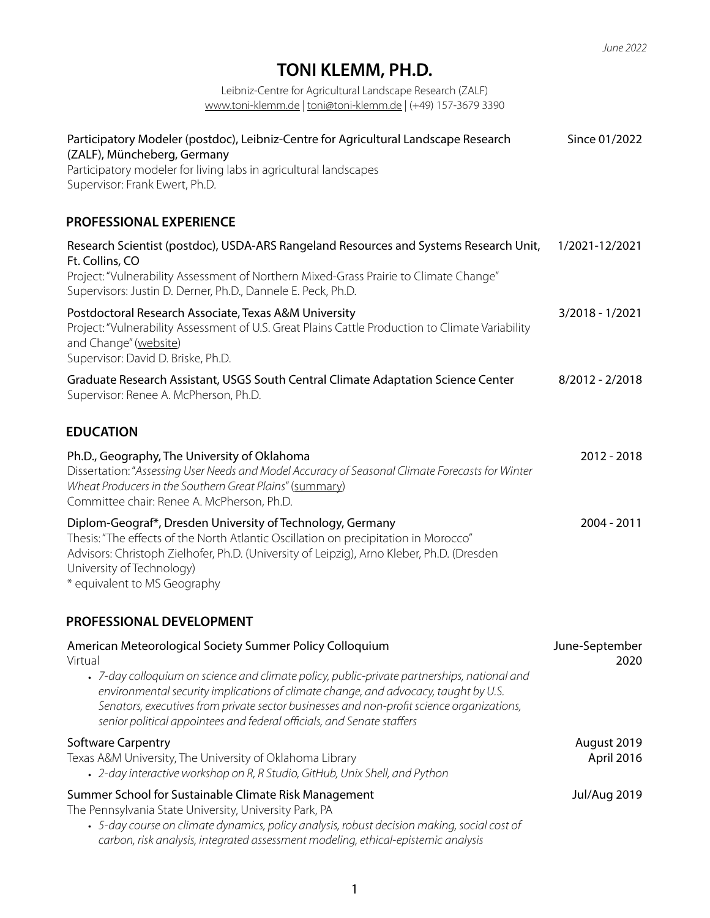## **TONI KLEMM, PH.D.**

Leibniz-Centre for Agricultural Landscape Research (ZALF) [www.toni-klemm.de](http://www.toni-klemm.de) | [toni@toni-klemm.de](mailto:toni@toni-klemm.de) | (+49) 157-3679 3390

| Participatory Modeler (postdoc), Leibniz-Centre for Agricultural Landscape Research<br>(ZALF), Müncheberg, Germany<br>Participatory modeler for living labs in agricultural landscapes<br>Supervisor: Frank Ewert, Ph.D.                                                                                                                                                                                                         | Since 01/2022             |
|----------------------------------------------------------------------------------------------------------------------------------------------------------------------------------------------------------------------------------------------------------------------------------------------------------------------------------------------------------------------------------------------------------------------------------|---------------------------|
| PROFESSIONAL EXPERIENCE                                                                                                                                                                                                                                                                                                                                                                                                          |                           |
| Research Scientist (postdoc), USDA-ARS Rangeland Resources and Systems Research Unit,<br>Ft. Collins, CO<br>Project: "Vulnerability Assessment of Northern Mixed-Grass Prairie to Climate Change"<br>Supervisors: Justin D. Derner, Ph.D., Dannele E. Peck, Ph.D.                                                                                                                                                                | 1/2021-12/2021            |
| Postdoctoral Research Associate, Texas A&M University<br>Project: "Vulnerability Assessment of U.S. Great Plains Cattle Production to Climate Variability<br>and Change" (website)<br>Supervisor: David D. Briske, Ph.D.                                                                                                                                                                                                         | 3/2018 - 1/2021           |
| Graduate Research Assistant, USGS South Central Climate Adaptation Science Center<br>Supervisor: Renee A. McPherson, Ph.D.                                                                                                                                                                                                                                                                                                       | $8/2012 - 2/2018$         |
| <b>EDUCATION</b>                                                                                                                                                                                                                                                                                                                                                                                                                 |                           |
| Ph.D., Geography, The University of Oklahoma<br>Dissertation: "Assessing User Needs and Model Accuracy of Seasonal Climate Forecasts for Winter<br>Wheat Producers in the Southern Great Plains" (summary)<br>Committee chair: Renee A. McPherson, Ph.D.                                                                                                                                                                         | 2012 - 2018               |
| Diplom-Geograf*, Dresden University of Technology, Germany<br>Thesis: "The effects of the North Atlantic Oscillation on precipitation in Morocco"<br>Advisors: Christoph Zielhofer, Ph.D. (University of Leipzig), Arno Kleber, Ph.D. (Dresden<br>University of Technology)<br>* equivalent to MS Geography                                                                                                                      | 2004 - 2011               |
| PROFESSIONAL DEVELOPMENT                                                                                                                                                                                                                                                                                                                                                                                                         |                           |
| American Meteorological Society Summer Policy Colloquium<br>Virtual<br>• 7-day colloquium on science and climate policy, public-private partnerships, national and<br>environmental security implications of climate change, and advocacy, taught by U.S.<br>Senators, executives from private sector businesses and non-profit science organizations,<br>senior political appointees and federal officials, and Senate staffers | June-September<br>2020    |
| <b>Software Carpentry</b><br>Texas A&M University, The University of Oklahoma Library<br>• 2-day interactive workshop on R, R Studio, GitHub, Unix Shell, and Python                                                                                                                                                                                                                                                             | August 2019<br>April 2016 |
| Summer School for Sustainable Climate Risk Management<br>The Pennsylvania State University, University Park, PA<br>• 5-day course on climate dynamics, policy analysis, robust decision making, social cost of<br>carbon, risk analysis, integrated assessment modeling, ethical-epistemic analysis                                                                                                                              | <b>Jul/Aug 2019</b>       |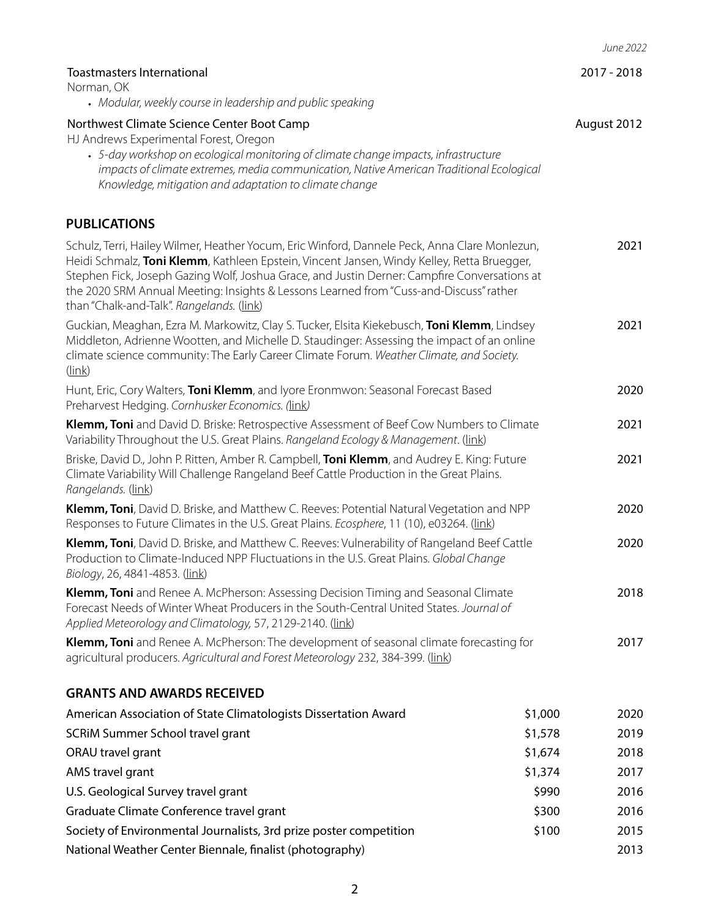|                                                                                                                                                                                                                                                                                                                                                                                                                                    |         | June 2022   |
|------------------------------------------------------------------------------------------------------------------------------------------------------------------------------------------------------------------------------------------------------------------------------------------------------------------------------------------------------------------------------------------------------------------------------------|---------|-------------|
| <b>Toastmasters International</b><br>Norman, OK                                                                                                                                                                                                                                                                                                                                                                                    |         | 2017 - 2018 |
| • Modular, weekly course in leadership and public speaking                                                                                                                                                                                                                                                                                                                                                                         |         |             |
| Northwest Climate Science Center Boot Camp<br>HJ Andrews Experimental Forest, Oregon<br>• 5-day workshop on ecological monitoring of climate change impacts, infrastructure<br>impacts of climate extremes, media communication, Native American Traditional Ecological<br>Knowledge, mitigation and adaptation to climate change                                                                                                  |         | August 2012 |
| <b>PUBLICATIONS</b>                                                                                                                                                                                                                                                                                                                                                                                                                |         |             |
| Schulz, Terri, Hailey Wilmer, Heather Yocum, Eric Winford, Dannele Peck, Anna Clare Monlezun,<br>Heidi Schmalz, Toni Klemm, Kathleen Epstein, Vincent Jansen, Windy Kelley, Retta Bruegger,<br>Stephen Fick, Joseph Gazing Wolf, Joshua Grace, and Justin Derner: Campfire Conversations at<br>the 2020 SRM Annual Meeting: Insights & Lessons Learned from "Cuss-and-Discuss" rather<br>than "Chalk-and-Talk". Rangelands. (link) |         | 2021        |
| Guckian, Meaghan, Ezra M. Markowitz, Clay S. Tucker, Elsita Kiekebusch, Toni Klemm, Lindsey<br>Middleton, Adrienne Wootten, and Michelle D. Staudinger: Assessing the impact of an online<br>climate science community: The Early Career Climate Forum. Weather Climate, and Society.<br>$(\ln k)$                                                                                                                                 |         | 2021        |
| Hunt, Eric, Cory Walters, Toni Klemm, and lyore Eronmwon: Seasonal Forecast Based<br>Preharvest Hedging. Cornhusker Economics. (link)                                                                                                                                                                                                                                                                                              |         | 2020        |
| Klemm, Toni and David D. Briske: Retrospective Assessment of Beef Cow Numbers to Climate<br>Variability Throughout the U.S. Great Plains. Rangeland Ecology & Management. (link)                                                                                                                                                                                                                                                   |         | 2021        |
| Briske, David D., John P. Ritten, Amber R. Campbell, <b>Toni Klemm</b> , and Audrey E. King: Future<br>Climate Variability Will Challenge Rangeland Beef Cattle Production in the Great Plains.<br>Rangelands. (link)                                                                                                                                                                                                              |         | 2021        |
| Klemm, Toni, David D. Briske, and Matthew C. Reeves: Potential Natural Vegetation and NPP<br>Responses to Future Climates in the U.S. Great Plains. Ecosphere, 11 (10), e03264. (link)                                                                                                                                                                                                                                             |         | 2020        |
| Klemm, Toni, David D. Briske, and Matthew C. Reeves: Vulnerability of Rangeland Beef Cattle<br>Production to Climate-Induced NPP Fluctuations in the U.S. Great Plains. Global Change<br>Biology, 26, 4841-4853. (link)                                                                                                                                                                                                            |         | 2020        |
| Klemm, Toni and Renee A. McPherson: Assessing Decision Timing and Seasonal Climate<br>Forecast Needs of Winter Wheat Producers in the South-Central United States. Journal of<br>Applied Meteorology and Climatology, 57, 2129-2140. (link)                                                                                                                                                                                        |         | 2018        |
| Klemm, Toni and Renee A. McPherson: The development of seasonal climate forecasting for<br>agricultural producers. Agricultural and Forest Meteorology 232, 384-399. (link)                                                                                                                                                                                                                                                        |         | 2017        |
| <b>GRANTS AND AWARDS RECEIVED</b>                                                                                                                                                                                                                                                                                                                                                                                                  |         |             |
| American Association of State Climatologists Dissertation Award                                                                                                                                                                                                                                                                                                                                                                    | \$1,000 | 2020        |
| SCRIM Summer School travel grant                                                                                                                                                                                                                                                                                                                                                                                                   | \$1,578 | 2019        |
| ORAU travel grant                                                                                                                                                                                                                                                                                                                                                                                                                  | \$1,674 | 2018        |
| AMS travel grant                                                                                                                                                                                                                                                                                                                                                                                                                   | \$1,374 | 2017        |
| U.S. Geological Survey travel grant                                                                                                                                                                                                                                                                                                                                                                                                | \$990   | 2016        |
| Graduate Climate Conference travel grant                                                                                                                                                                                                                                                                                                                                                                                           | \$300   | 2016        |
| Society of Environmental Journalists, 3rd prize poster competition                                                                                                                                                                                                                                                                                                                                                                 | \$100   | 2015        |
| National Weather Center Biennale, finalist (photography)                                                                                                                                                                                                                                                                                                                                                                           |         | 2013        |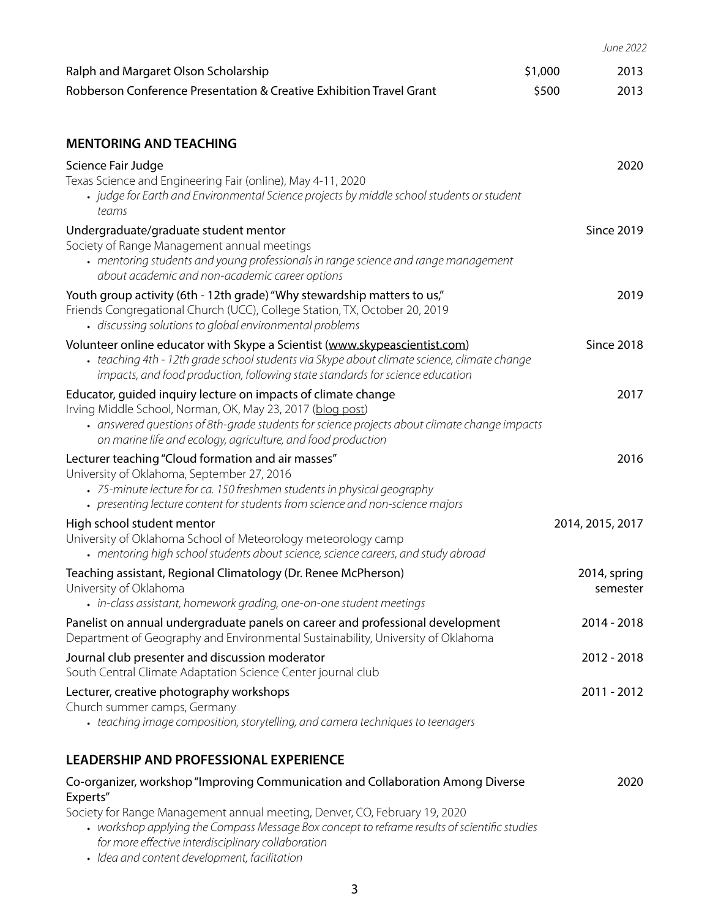|                                                                                                                                                                                                                                                                                  |         | June 2022         |
|----------------------------------------------------------------------------------------------------------------------------------------------------------------------------------------------------------------------------------------------------------------------------------|---------|-------------------|
| Ralph and Margaret Olson Scholarship                                                                                                                                                                                                                                             | \$1,000 | 2013              |
| Robberson Conference Presentation & Creative Exhibition Travel Grant                                                                                                                                                                                                             | \$500   | 2013              |
|                                                                                                                                                                                                                                                                                  |         |                   |
| <b>MENTORING AND TEACHING</b>                                                                                                                                                                                                                                                    |         |                   |
| Science Fair Judge                                                                                                                                                                                                                                                               |         | 2020              |
| Texas Science and Engineering Fair (online), May 4-11, 2020<br>• judge for Earth and Environmental Science projects by middle school students or student<br>teams                                                                                                                |         |                   |
| Undergraduate/graduate student mentor                                                                                                                                                                                                                                            |         | <b>Since 2019</b> |
| Society of Range Management annual meetings<br>• mentoring students and young professionals in range science and range management<br>about academic and non-academic career options                                                                                              |         |                   |
| Youth group activity (6th - 12th grade) "Why stewardship matters to us,"                                                                                                                                                                                                         |         | 2019              |
| Friends Congregational Church (UCC), College Station, TX, October 20, 2019<br>· discussing solutions to global environmental problems                                                                                                                                            |         |                   |
| Volunteer online educator with Skype a Scientist (www.skypeascientist.com)                                                                                                                                                                                                       |         | <b>Since 2018</b> |
| • teaching 4th - 12th grade school students via Skype about climate science, climate change<br>impacts, and food production, following state standards for science education                                                                                                     |         |                   |
| Educator, guided inquiry lecture on impacts of climate change                                                                                                                                                                                                                    |         | 2017              |
| Irving Middle School, Norman, OK, May 23, 2017 (blog post)<br>• answered questions of 8th-grade students for science projects about climate change impacts                                                                                                                       |         |                   |
| on marine life and ecology, agriculture, and food production                                                                                                                                                                                                                     |         |                   |
| Lecturer teaching "Cloud formation and air masses"<br>University of Oklahoma, September 27, 2016                                                                                                                                                                                 |         | 2016              |
| • 75-minute lecture for ca. 150 freshmen students in physical geography                                                                                                                                                                                                          |         |                   |
| • presenting lecture content for students from science and non-science majors                                                                                                                                                                                                    |         |                   |
| High school student mentor<br>University of Oklahoma School of Meteorology meteorology camp                                                                                                                                                                                      |         | 2014, 2015, 2017  |
| • mentoring high school students about science, science careers, and study abroad                                                                                                                                                                                                |         |                   |
| Teaching assistant, Regional Climatology (Dr. Renee McPherson)                                                                                                                                                                                                                   |         | 2014, spring      |
| University of Oklahoma<br>• in-class assistant, homework grading, one-on-one student meetings                                                                                                                                                                                    |         | semester          |
| Panelist on annual undergraduate panels on career and professional development                                                                                                                                                                                                   |         | 2014 - 2018       |
| Department of Geography and Environmental Sustainability, University of Oklahoma                                                                                                                                                                                                 |         |                   |
| Journal club presenter and discussion moderator<br>South Central Climate Adaptation Science Center journal club                                                                                                                                                                  |         | $2012 - 2018$     |
| Lecturer, creative photography workshops                                                                                                                                                                                                                                         |         | 2011 - 2012       |
| Church summer camps, Germany                                                                                                                                                                                                                                                     |         |                   |
| • teaching image composition, storytelling, and camera techniques to teenagers                                                                                                                                                                                                   |         |                   |
| <b>LEADERSHIP AND PROFESSIONAL EXPERIENCE</b>                                                                                                                                                                                                                                    |         |                   |
| Co-organizer, workshop "Improving Communication and Collaboration Among Diverse<br>Experts"                                                                                                                                                                                      |         | 2020              |
| Society for Range Management annual meeting, Denver, CO, February 19, 2020<br>• workshop applying the Compass Message Box concept to reframe results of scientific studies<br>for more effective interdisciplinary collaboration<br>· Idea and content development, facilitation |         |                   |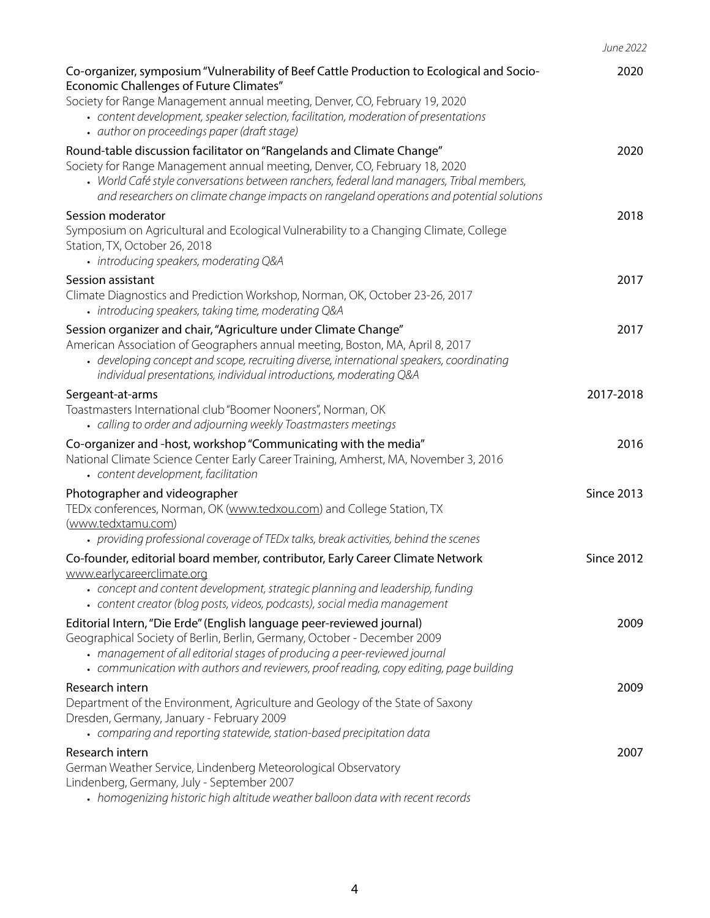*June 2022*

| Co-organizer, symposium "Vulnerability of Beef Cattle Production to Ecological and Socio-<br><b>Economic Challenges of Future Climates"</b>                                                                                                                                                                                                   | 2020              |
|-----------------------------------------------------------------------------------------------------------------------------------------------------------------------------------------------------------------------------------------------------------------------------------------------------------------------------------------------|-------------------|
| Society for Range Management annual meeting, Denver, CO, February 19, 2020<br>• content development, speaker selection, facilitation, moderation of presentations<br>· author on proceedings paper (draft stage)                                                                                                                              |                   |
| Round-table discussion facilitator on "Rangelands and Climate Change"<br>Society for Range Management annual meeting, Denver, CO, February 18, 2020<br>• World Café style conversations between ranchers, federal land managers, Tribal members,<br>and researchers on climate change impacts on rangeland operations and potential solutions | 2020              |
| Session moderator<br>Symposium on Agricultural and Ecological Vulnerability to a Changing Climate, College<br>Station, TX, October 26, 2018<br>• introducing speakers, moderating Q&A                                                                                                                                                         | 2018              |
| Session assistant<br>Climate Diagnostics and Prediction Workshop, Norman, OK, October 23-26, 2017<br>• introducing speakers, taking time, moderating Q&A                                                                                                                                                                                      | 2017              |
| Session organizer and chair, "Agriculture under Climate Change"<br>American Association of Geographers annual meeting, Boston, MA, April 8, 2017<br>• developing concept and scope, recruiting diverse, international speakers, coordinating<br>individual presentations, individual introductions, moderating Q&A                            | 2017              |
| Sergeant-at-arms<br>Toastmasters International club "Boomer Nooners", Norman, OK<br>• calling to order and adjourning weekly Toastmasters meetings                                                                                                                                                                                            | 2017-2018         |
| Co-organizer and -host, workshop "Communicating with the media"<br>National Climate Science Center Early Career Training, Amherst, MA, November 3, 2016<br>• content development, facilitation                                                                                                                                                | 2016              |
| Photographer and videographer<br>TEDx conferences, Norman, OK (www.tedxou.com) and College Station, TX<br>(www.tedxtamu.com)<br>• providing professional coverage of TEDx talks, break activities, behind the scenes                                                                                                                          | <b>Since 2013</b> |
| Co-founder, editorial board member, contributor, Early Career Climate Network                                                                                                                                                                                                                                                                 | <b>Since 2012</b> |
| www.earlycareerclimate.org<br>• concept and content development, strategic planning and leadership, funding<br>• content creator (blog posts, videos, podcasts), social media management                                                                                                                                                      |                   |
| Editorial Intern, "Die Erde" (English language peer-reviewed journal)<br>Geographical Society of Berlin, Berlin, Germany, October - December 2009<br>• management of all editorial stages of producing a peer-reviewed journal<br>• communication with authors and reviewers, proof reading, copy editing, page building                      | 2009              |
| Research intern<br>Department of the Environment, Agriculture and Geology of the State of Saxony<br>Dresden, Germany, January - February 2009<br>• comparing and reporting statewide, station-based precipitation data                                                                                                                        | 2009              |
| Research intern                                                                                                                                                                                                                                                                                                                               | 2007              |
| German Weather Service, Lindenberg Meteorological Observatory<br>Lindenberg, Germany, July - September 2007<br>• homogenizing historic high altitude weather balloon data with recent records                                                                                                                                                 |                   |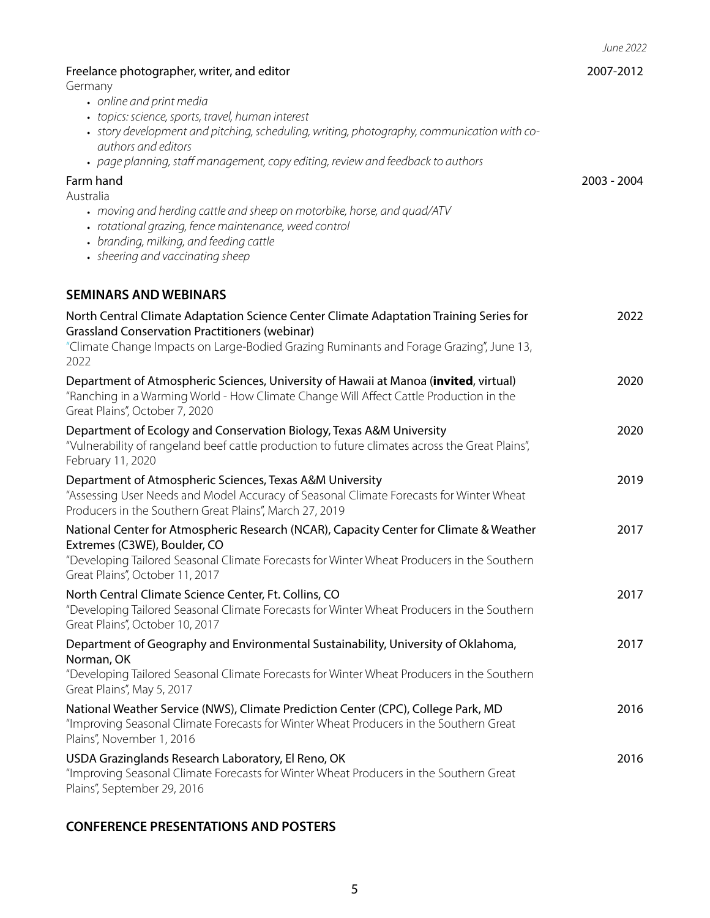*June 2022*

| Freelance photographer, writer, and editor<br>Germany<br>• online and print media<br>• topics: science, sports, travel, human interest<br>• story development and pitching, scheduling, writing, photography, communication with co-<br>authors and editors                              | 2007-2012   |
|------------------------------------------------------------------------------------------------------------------------------------------------------------------------------------------------------------------------------------------------------------------------------------------|-------------|
| • page planning, staff management, copy editing, review and feedback to authors<br>Farm hand<br>Australia<br>• moving and herding cattle and sheep on motorbike, horse, and quad/ATV<br>• rotational grazing, fence maintenance, weed control<br>• branding, milking, and feeding cattle | 2003 - 2004 |
| • sheering and vaccinating sheep                                                                                                                                                                                                                                                         |             |
| <b>SEMINARS AND WEBINARS</b>                                                                                                                                                                                                                                                             |             |
| North Central Climate Adaptation Science Center Climate Adaptation Training Series for<br><b>Grassland Conservation Practitioners (webinar)</b><br>"Climate Change Impacts on Large-Bodied Grazing Ruminants and Forage Grazing", June 13,<br>2022                                       | 2022        |
| Department of Atmospheric Sciences, University of Hawaii at Manoa (invited, virtual)<br>"Ranching in a Warming World - How Climate Change Will Affect Cattle Production in the<br>Great Plains", October 7, 2020                                                                         | 2020        |
| Department of Ecology and Conservation Biology, Texas A&M University<br>"Vulnerability of rangeland beef cattle production to future climates across the Great Plains",<br>February 11, 2020                                                                                             | 2020        |
| Department of Atmospheric Sciences, Texas A&M University<br>"Assessing User Needs and Model Accuracy of Seasonal Climate Forecasts for Winter Wheat<br>Producers in the Southern Great Plains", March 27, 2019                                                                           | 2019        |
| National Center for Atmospheric Research (NCAR), Capacity Center for Climate & Weather<br>Extremes (C3WE), Boulder, CO<br>"Developing Tailored Seasonal Climate Forecasts for Winter Wheat Producers in the Southern<br>Great Plains", October 11, 2017                                  | 2017        |
| North Central Climate Science Center, Ft. Collins, CO<br>"Developing Tailored Seasonal Climate Forecasts for Winter Wheat Producers in the Southern<br>Great Plains", October 10, 2017                                                                                                   | 2017        |
| Department of Geography and Environmental Sustainability, University of Oklahoma,<br>Norman, OK<br>"Developing Tailored Seasonal Climate Forecasts for Winter Wheat Producers in the Southern<br>Great Plains", May 5, 2017                                                              | 2017        |
| National Weather Service (NWS), Climate Prediction Center (CPC), College Park, MD<br>"Improving Seasonal Climate Forecasts for Winter Wheat Producers in the Southern Great<br>Plains", November 1, 2016                                                                                 | 2016        |
| USDA Grazinglands Research Laboratory, El Reno, OK<br>"Improving Seasonal Climate Forecasts for Winter Wheat Producers in the Southern Great<br>Plains", September 29, 2016                                                                                                              | 2016        |

## **CONFERENCE PRESENTATIONS AND POSTERS**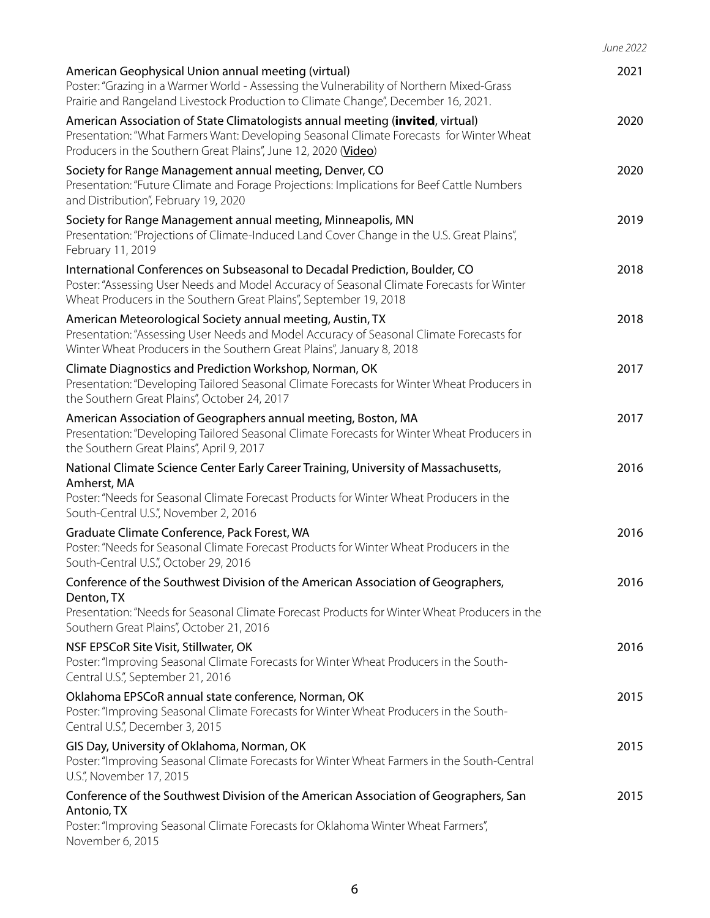|                                                                                                                                                                                                                                               | June 2022 |
|-----------------------------------------------------------------------------------------------------------------------------------------------------------------------------------------------------------------------------------------------|-----------|
| American Geophysical Union annual meeting (virtual)<br>Poster: "Grazing in a Warmer World - Assessing the Vulnerability of Northern Mixed-Grass<br>Prairie and Rangeland Livestock Production to Climate Change", December 16, 2021.          | 2021      |
| American Association of State Climatologists annual meeting (invited, virtual)<br>Presentation: "What Farmers Want: Developing Seasonal Climate Forecasts for Winter Wheat<br>Producers in the Southern Great Plains", June 12, 2020 (Video)  | 2020      |
| Society for Range Management annual meeting, Denver, CO<br>Presentation: "Future Climate and Forage Projections: Implications for Beef Cattle Numbers<br>and Distribution", February 19, 2020                                                 | 2020      |
| Society for Range Management annual meeting, Minneapolis, MN<br>Presentation: "Projections of Climate-Induced Land Cover Change in the U.S. Great Plains",<br>February 11, 2019                                                               | 2019      |
| International Conferences on Subseasonal to Decadal Prediction, Boulder, CO<br>Poster: "Assessing User Needs and Model Accuracy of Seasonal Climate Forecasts for Winter<br>Wheat Producers in the Southern Great Plains", September 19, 2018 | 2018      |
| American Meteorological Society annual meeting, Austin, TX<br>Presentation: "Assessing User Needs and Model Accuracy of Seasonal Climate Forecasts for<br>Winter Wheat Producers in the Southern Great Plains", January 8, 2018               | 2018      |
| Climate Diagnostics and Prediction Workshop, Norman, OK<br>Presentation: "Developing Tailored Seasonal Climate Forecasts for Winter Wheat Producers in<br>the Southern Great Plains", October 24, 2017                                        | 2017      |
| American Association of Geographers annual meeting, Boston, MA<br>Presentation: "Developing Tailored Seasonal Climate Forecasts for Winter Wheat Producers in<br>the Southern Great Plains", April 9, 2017                                    | 2017      |
| National Climate Science Center Early Career Training, University of Massachusetts,<br>Amherst, MA<br>Poster: "Needs for Seasonal Climate Forecast Products for Winter Wheat Producers in the<br>South-Central U.S.", November 2, 2016        | 2016      |
| Graduate Climate Conference, Pack Forest, WA<br>Poster: "Needs for Seasonal Climate Forecast Products for Winter Wheat Producers in the<br>South-Central U.S.", October 29, 2016                                                              | 2016      |
| Conference of the Southwest Division of the American Association of Geographers,<br>Denton, TX<br>Presentation: "Needs for Seasonal Climate Forecast Products for Winter Wheat Producers in the<br>Southern Great Plains", October 21, 2016   | 2016      |
| NSF EPSCoR Site Visit, Stillwater, OK<br>Poster: "Improving Seasonal Climate Forecasts for Winter Wheat Producers in the South-<br>Central U.S.", September 21, 2016                                                                          | 2016      |
| Oklahoma EPSCoR annual state conference, Norman, OK<br>Poster: "Improving Seasonal Climate Forecasts for Winter Wheat Producers in the South-<br>Central U.S.", December 3, 2015                                                              | 2015      |
| GIS Day, University of Oklahoma, Norman, OK<br>Poster: "Improving Seasonal Climate Forecasts for Winter Wheat Farmers in the South-Central<br>U.S.", November 17, 2015                                                                        | 2015      |
| Conference of the Southwest Division of the American Association of Geographers, San<br>Antonio, TX<br>Poster: "Improving Seasonal Climate Forecasts for Oklahoma Winter Wheat Farmers",<br>November 6, 2015                                  | 2015      |